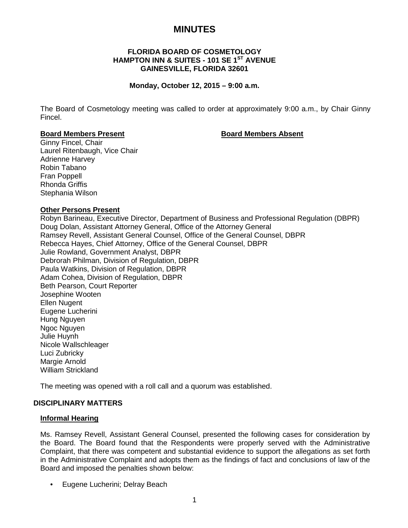# **MINUTES**

# **FLORIDA BOARD OF COSMETOLOGY HAMPTON INN & SUITES - 101 SE 1ST AVENUE GAINESVILLE, FLORIDA 32601**

# **Monday, October 12, 2015 – 9:00 a.m.**

The Board of Cosmetology meeting was called to order at approximately 9:00 a.m., by Chair Ginny Fincel.

# **Board Members Present Board Members Absent**

Ginny Fincel, Chair Laurel Ritenbaugh, Vice Chair Adrienne Harvey Robin Tabano Fran Poppell Rhonda Griffis Stephania Wilson

# **Other Persons Present**

Robyn Barineau, Executive Director, Department of Business and Professional Regulation (DBPR) Doug Dolan, Assistant Attorney General, Office of the Attorney General Ramsey Revell, Assistant General Counsel, Office of the General Counsel, DBPR Rebecca Hayes, Chief Attorney, Office of the General Counsel, DBPR Julie Rowland, Government Analyst, DBPR Debrorah Philman, Division of Regulation, DBPR Paula Watkins, Division of Regulation, DBPR Adam Cohea, Division of Regulation, DBPR Beth Pearson, Court Reporter Josephine Wooten Ellen Nugent Eugene Lucherini Hung Nguyen Ngoc Nguyen Julie Huynh Nicole Wallschleager Luci Zubricky Margie Arnold William Strickland

The meeting was opened with a roll call and a quorum was established.

# **DISCIPLINARY MATTERS**

# **Informal Hearing**

Ms. Ramsey Revell, Assistant General Counsel, presented the following cases for consideration by the Board. The Board found that the Respondents were properly served with the Administrative Complaint, that there was competent and substantial evidence to support the allegations as set forth in the Administrative Complaint and adopts them as the findings of fact and conclusions of law of the Board and imposed the penalties shown below:

• Eugene Lucherini; Delray Beach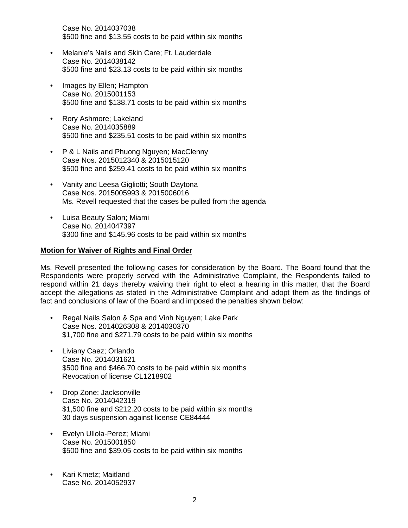Case No. 2014037038 \$500 fine and \$13.55 costs to be paid within six months

- Melanie's Nails and Skin Care; Ft. Lauderdale Case No. 2014038142 \$500 fine and \$23.13 costs to be paid within six months
- Images by Ellen; Hampton Case No. 2015001153 \$500 fine and \$138.71 costs to be paid within six months
- Rory Ashmore; Lakeland Case No. 2014035889 \$500 fine and \$235.51 costs to be paid within six months
- P & L Nails and Phuong Nguyen; MacClenny Case Nos. 2015012340 & 2015015120 \$500 fine and \$259.41 costs to be paid within six months
- Vanity and Leesa Gigliotti; South Daytona Case Nos. 2015005993 & 2015006016 Ms. Revell requested that the cases be pulled from the agenda
- Luisa Beauty Salon; Miami Case No. 2014047397 \$300 fine and \$145.96 costs to be paid within six months

# **Motion for Waiver of Rights and Final Order**

Ms. Revell presented the following cases for consideration by the Board. The Board found that the Respondents were properly served with the Administrative Complaint, the Respondents failed to respond within 21 days thereby waiving their right to elect a hearing in this matter, that the Board accept the allegations as stated in the Administrative Complaint and adopt them as the findings of fact and conclusions of law of the Board and imposed the penalties shown below:

- Regal Nails Salon & Spa and Vinh Nguyen; Lake Park Case Nos. 2014026308 & 2014030370 \$1,700 fine and \$271.79 costs to be paid within six months
- Liviany Caez; Orlando Case No. 2014031621 \$500 fine and \$466.70 costs to be paid within six months Revocation of license CL1218902
- Drop Zone; Jacksonville Case No. 2014042319 \$1,500 fine and \$212.20 costs to be paid within six months 30 days suspension against license CE84444
- Evelyn Ullola-Perez; Miami Case No. 2015001850 \$500 fine and \$39.05 costs to be paid within six months
- Kari Kmetz; Maitland Case No. 2014052937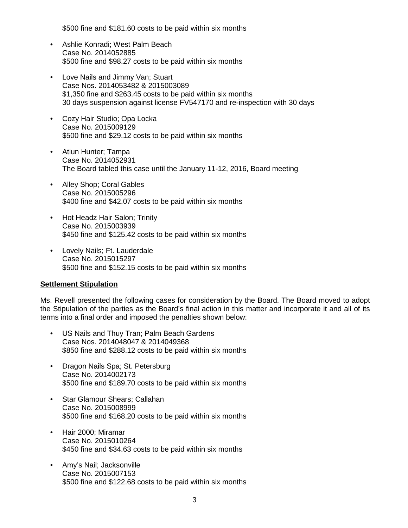\$500 fine and \$181.60 costs to be paid within six months

- Ashlie Konradi; West Palm Beach Case No. 2014052885 \$500 fine and \$98.27 costs to be paid within six months
- Love Nails and Jimmy Van; Stuart Case Nos. 2014053482 & 2015003089 \$1,350 fine and \$263.45 costs to be paid within six months 30 days suspension against license FV547170 and re-inspection with 30 days
- Cozy Hair Studio; Opa Locka Case No. 2015009129 \$500 fine and \$29.12 costs to be paid within six months
- Atiun Hunter; Tampa Case No. 2014052931 The Board tabled this case until the January 11-12, 2016, Board meeting
- Alley Shop; Coral Gables Case No. 2015005296 \$400 fine and \$42.07 costs to be paid within six months
- Hot Headz Hair Salon; Trinity Case No. 2015003939 \$450 fine and \$125.42 costs to be paid within six months
- Lovely Nails; Ft. Lauderdale Case No. 2015015297 \$500 fine and \$152.15 costs to be paid within six months

# **Settlement Stipulation**

Ms. Revell presented the following cases for consideration by the Board. The Board moved to adopt the Stipulation of the parties as the Board's final action in this matter and incorporate it and all of its terms into a final order and imposed the penalties shown below:

- US Nails and Thuy Tran; Palm Beach Gardens Case Nos. 2014048047 & 2014049368 \$850 fine and \$288.12 costs to be paid within six months
- Dragon Nails Spa; St. Petersburg Case No. 2014002173 \$500 fine and \$189.70 costs to be paid within six months
- Star Glamour Shears; Callahan Case No. 2015008999 \$500 fine and \$168.20 costs to be paid within six months
- Hair 2000; Miramar Case No. 2015010264 \$450 fine and \$34.63 costs to be paid within six months
- Amy's Nail; Jacksonville Case No. 2015007153 \$500 fine and \$122.68 costs to be paid within six months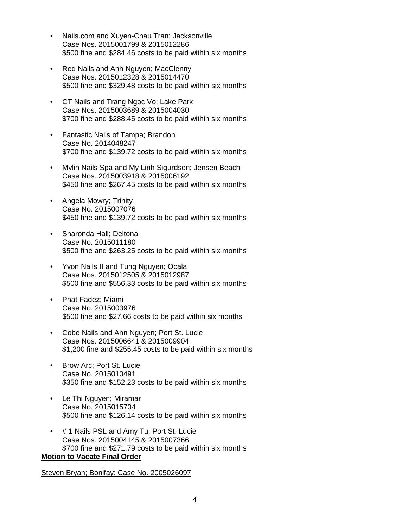- Nails.com and Xuyen-Chau Tran; Jacksonville Case Nos. 2015001799 & 2015012286 \$500 fine and \$284.46 costs to be paid within six months
- Red Nails and Anh Nguyen; MacClenny Case Nos. 2015012328 & 2015014470 \$500 fine and \$329.48 costs to be paid within six months
- CT Nails and Trang Ngoc Vo; Lake Park Case Nos. 2015003689 & 2015004030 \$700 fine and \$288.45 costs to be paid within six months
- Fantastic Nails of Tampa; Brandon Case No. 2014048247 \$700 fine and \$139.72 costs to be paid within six months
- Mylin Nails Spa and My Linh Sigurdsen; Jensen Beach Case Nos. 2015003918 & 2015006192 \$450 fine and \$267.45 costs to be paid within six months
- Angela Mowry; Trinity Case No. 2015007076 \$450 fine and \$139.72 costs to be paid within six months
- Sharonda Hall; Deltona Case No. 2015011180 \$500 fine and \$263.25 costs to be paid within six months
- Yvon Nails II and Tung Nguyen; Ocala Case Nos. 2015012505 & 2015012987 \$500 fine and \$556.33 costs to be paid within six months
- Phat Fadez; Miami Case No. 2015003976 \$500 fine and \$27.66 costs to be paid within six months
- Cobe Nails and Ann Nguyen; Port St. Lucie Case Nos. 2015006641 & 2015009904 \$1,200 fine and \$255.45 costs to be paid within six months
- Brow Arc; Port St. Lucie Case No. 2015010491 \$350 fine and \$152.23 costs to be paid within six months
- Le Thi Nguyen; Miramar Case No. 2015015704 \$500 fine and \$126.14 costs to be paid within six months
- # 1 Nails PSL and Amy Tu; Port St. Lucie Case Nos. 2015004145 & 2015007366 \$700 fine and \$271.79 costs to be paid within six months

# **Motion to Vacate Final Order**

Steven Bryan; Bonifay; Case No. 2005026097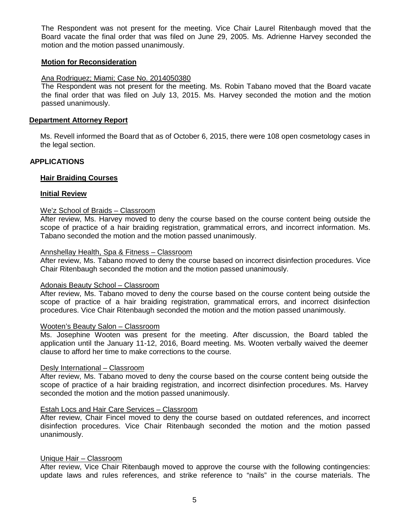The Respondent was not present for the meeting. Vice Chair Laurel Ritenbaugh moved that the Board vacate the final order that was filed on June 29, 2005. Ms. Adrienne Harvey seconded the motion and the motion passed unanimously.

# **Motion for Reconsideration**

# Ana Rodriguez; Miami; Case No. 2014050380

The Respondent was not present for the meeting. Ms. Robin Tabano moved that the Board vacate the final order that was filed on July 13, 2015. Ms. Harvey seconded the motion and the motion passed unanimously.

# **Department Attorney Report**

Ms. Revell informed the Board that as of October 6, 2015, there were 108 open cosmetology cases in the legal section.

# **APPLICATIONS**

# **Hair Braiding Courses**

# **Initial Review**

# We'z School of Braids – Classroom

After review, Ms. Harvey moved to deny the course based on the course content being outside the scope of practice of a hair braiding registration, grammatical errors, and incorrect information. Ms. Tabano seconded the motion and the motion passed unanimously.

# Annshellay Health, Spa & Fitness – Classroom

After review, Ms. Tabano moved to deny the course based on incorrect disinfection procedures. Vice Chair Ritenbaugh seconded the motion and the motion passed unanimously.

# Adonais Beauty School – Classroom

After review, Ms. Tabano moved to deny the course based on the course content being outside the scope of practice of a hair braiding registration, grammatical errors, and incorrect disinfection procedures. Vice Chair Ritenbaugh seconded the motion and the motion passed unanimously.

# Wooten's Beauty Salon – Classroom

Ms. Josephine Wooten was present for the meeting. After discussion, the Board tabled the application until the January 11-12, 2016, Board meeting. Ms. Wooten verbally waived the deemer clause to afford her time to make corrections to the course.

# Desly International – Classroom

After review, Ms. Tabano moved to deny the course based on the course content being outside the scope of practice of a hair braiding registration, and incorrect disinfection procedures. Ms. Harvey seconded the motion and the motion passed unanimously.

# Estah Locs and Hair Care Services – Classroom

After review, Chair Fincel moved to deny the course based on outdated references, and incorrect disinfection procedures. Vice Chair Ritenbaugh seconded the motion and the motion passed unanimously.

# Unique Hair – Classroom

After review, Vice Chair Ritenbaugh moved to approve the course with the following contingencies: update laws and rules references, and strike reference to "nails" in the course materials. The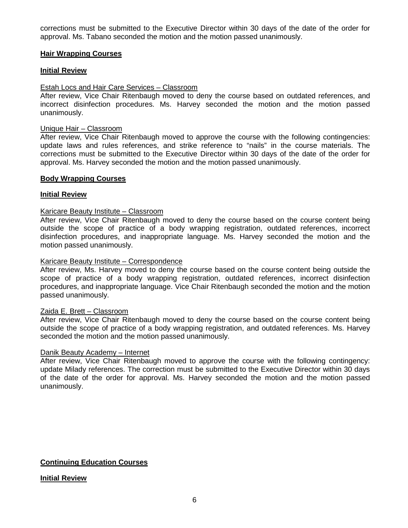corrections must be submitted to the Executive Director within 30 days of the date of the order for approval. Ms. Tabano seconded the motion and the motion passed unanimously.

# **Hair Wrapping Courses**

# **Initial Review**

# Estah Locs and Hair Care Services – Classroom

After review, Vice Chair Ritenbaugh moved to deny the course based on outdated references, and incorrect disinfection procedures. Ms. Harvey seconded the motion and the motion passed unanimously.

## Unique Hair – Classroom

After review, Vice Chair Ritenbaugh moved to approve the course with the following contingencies: update laws and rules references, and strike reference to "nails" in the course materials. The corrections must be submitted to the Executive Director within 30 days of the date of the order for approval. Ms. Harvey seconded the motion and the motion passed unanimously.

# **Body Wrapping Courses**

# **Initial Review**

# Karicare Beauty Institute – Classroom

After review, Vice Chair Ritenbaugh moved to deny the course based on the course content being outside the scope of practice of a body wrapping registration, outdated references, incorrect disinfection procedures, and inappropriate language. Ms. Harvey seconded the motion and the motion passed unanimously.

# Karicare Beauty Institute – Correspondence

After review, Ms. Harvey moved to deny the course based on the course content being outside the scope of practice of a body wrapping registration, outdated references, incorrect disinfection procedures, and inappropriate language. Vice Chair Ritenbaugh seconded the motion and the motion passed unanimously.

# Zaida E. Brett – Classroom

After review, Vice Chair Ritenbaugh moved to deny the course based on the course content being outside the scope of practice of a body wrapping registration, and outdated references. Ms. Harvey seconded the motion and the motion passed unanimously.

# Danik Beauty Academy – Internet

After review, Vice Chair Ritenbaugh moved to approve the course with the following contingency: update Milady references. The correction must be submitted to the Executive Director within 30 days of the date of the order for approval. Ms. Harvey seconded the motion and the motion passed unanimously.

# **Continuing Education Courses**

**Initial Review**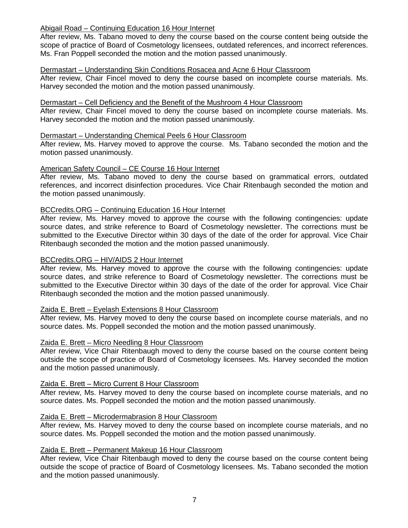# Abigail Road – Continuing Education 16 Hour Internet

After review, Ms. Tabano moved to deny the course based on the course content being outside the scope of practice of Board of Cosmetology licensees, outdated references, and incorrect references. Ms. Fran Poppell seconded the motion and the motion passed unanimously.

# Dermastart – Understanding Skin Conditions Rosacea and Acne 6 Hour Classroom

After review, Chair Fincel moved to deny the course based on incomplete course materials. Ms. Harvey seconded the motion and the motion passed unanimously.

# Dermastart – Cell Deficiency and the Benefit of the Mushroom 4 Hour Classroom

After review, Chair Fincel moved to deny the course based on incomplete course materials. Ms. Harvey seconded the motion and the motion passed unanimously.

# Dermastart – Understanding Chemical Peels 6 Hour Classroom

After review, Ms. Harvey moved to approve the course. Ms. Tabano seconded the motion and the motion passed unanimously.

# American Safety Council – CE Course 16 Hour Internet

After review, Ms. Tabano moved to deny the course based on grammatical errors, outdated references, and incorrect disinfection procedures. Vice Chair Ritenbaugh seconded the motion and the motion passed unanimously.

# BCCredits.ORG – Continuing Education 16 Hour Internet

After review, Ms. Harvey moved to approve the course with the following contingencies: update source dates, and strike reference to Board of Cosmetology newsletter. The corrections must be submitted to the Executive Director within 30 days of the date of the order for approval. Vice Chair Ritenbaugh seconded the motion and the motion passed unanimously.

# BCCredits.ORG – HIV/AIDS 2 Hour Internet

After review, Ms. Harvey moved to approve the course with the following contingencies: update source dates, and strike reference to Board of Cosmetology newsletter. The corrections must be submitted to the Executive Director within 30 days of the date of the order for approval. Vice Chair Ritenbaugh seconded the motion and the motion passed unanimously.

# Zaida E. Brett – Eyelash Extensions 8 Hour Classroom

After review, Ms. Harvey moved to deny the course based on incomplete course materials, and no source dates. Ms. Poppell seconded the motion and the motion passed unanimously.

# Zaida E. Brett – Micro Needling 8 Hour Classroom

After review, Vice Chair Ritenbaugh moved to deny the course based on the course content being outside the scope of practice of Board of Cosmetology licensees. Ms. Harvey seconded the motion and the motion passed unanimously.

# Zaida E. Brett – Micro Current 8 Hour Classroom

After review, Ms. Harvey moved to deny the course based on incomplete course materials, and no source dates. Ms. Poppell seconded the motion and the motion passed unanimously.

# Zaida E. Brett – Microdermabrasion 8 Hour Classroom

After review, Ms. Harvey moved to deny the course based on incomplete course materials, and no source dates. Ms. Poppell seconded the motion and the motion passed unanimously.

# Zaida E. Brett – Permanent Makeup 16 Hour Classroom

After review, Vice Chair Ritenbaugh moved to deny the course based on the course content being outside the scope of practice of Board of Cosmetology licensees. Ms. Tabano seconded the motion and the motion passed unanimously.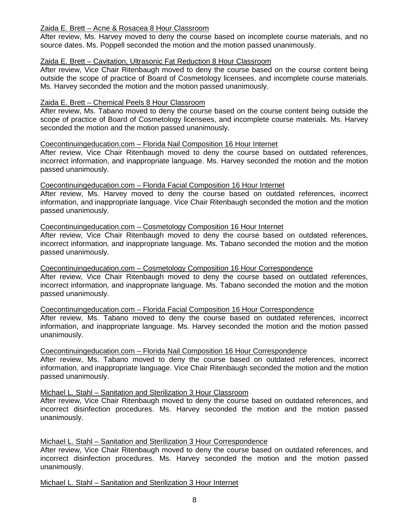# Zaida E. Brett – Acne & Rosacea 8 Hour Classroom

After review, Ms. Harvey moved to deny the course based on incomplete course materials, and no source dates. Ms. Poppell seconded the motion and the motion passed unanimously.

# Zaida E. Brett – Cavitation, Ultrasonic Fat Reduction 8 Hour Classroom

After review, Vice Chair Ritenbaugh moved to deny the course based on the course content being outside the scope of practice of Board of Cosmetology licensees, and incomplete course materials. Ms. Harvey seconded the motion and the motion passed unanimously.

# Zaida E. Brett – Chemical Peels 8 Hour Classroom

After review, Ms. Tabano moved to deny the course based on the course content being outside the scope of practice of Board of Cosmetology licensees, and incomplete course materials. Ms. Harvey seconded the motion and the motion passed unanimously.

# Coecontinuingeducation.com – Florida Nail Composition 16 Hour Internet

After review, Vice Chair Ritenbaugh moved to deny the course based on outdated references, incorrect information, and inappropriate language. Ms. Harvey seconded the motion and the motion passed unanimously.

# Coecontinuingeducation.com – Florida Facial Composition 16 Hour Internet

After review, Ms. Harvey moved to deny the course based on outdated references, incorrect information, and inappropriate language. Vice Chair Ritenbaugh seconded the motion and the motion passed unanimously.

# Coecontinuingeducation.com – Cosmetology Composition 16 Hour Internet

After review, Vice Chair Ritenbaugh moved to deny the course based on outdated references, incorrect information, and inappropriate language. Ms. Tabano seconded the motion and the motion passed unanimously.

# Coecontinuingeducation.com – Cosmetology Composition 16 Hour Correspondence

After review, Vice Chair Ritenbaugh moved to deny the course based on outdated references, incorrect information, and inappropriate language. Ms. Tabano seconded the motion and the motion passed unanimously.

# Coecontinuingeducation.com – Florida Facial Composition 16 Hour Correspondence

After review, Ms. Tabano moved to deny the course based on outdated references, incorrect information, and inappropriate language. Ms. Harvey seconded the motion and the motion passed unanimously.

# Coecontinuingeducation.com – Florida Nail Composition 16 Hour Correspondence

After review, Ms. Tabano moved to deny the course based on outdated references, incorrect information, and inappropriate language. Vice Chair Ritenbaugh seconded the motion and the motion passed unanimously.

# Michael L. Stahl – Sanitation and Sterilization 3 Hour Classroom

After review, Vice Chair Ritenbaugh moved to deny the course based on outdated references, and incorrect disinfection procedures. Ms. Harvey seconded the motion and the motion passed unanimously.

# Michael L. Stahl – Sanitation and Sterilization 3 Hour Correspondence

After review, Vice Chair Ritenbaugh moved to deny the course based on outdated references, and incorrect disinfection procedures. Ms. Harvey seconded the motion and the motion passed unanimously.

Michael L. Stahl – Sanitation and Sterilization 3 Hour Internet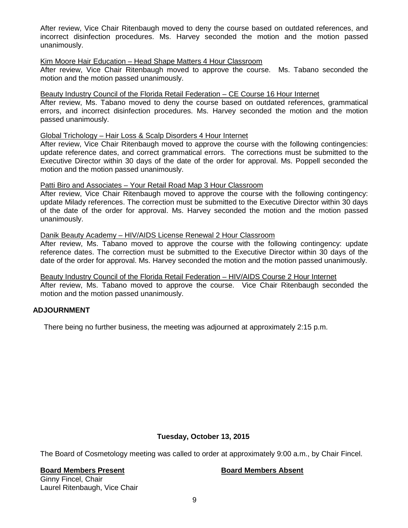After review, Vice Chair Ritenbaugh moved to deny the course based on outdated references, and incorrect disinfection procedures. Ms. Harvey seconded the motion and the motion passed unanimously.

# Kim Moore Hair Education – Head Shape Matters 4 Hour Classroom

After review, Vice Chair Ritenbaugh moved to approve the course. Ms. Tabano seconded the motion and the motion passed unanimously.

# Beauty Industry Council of the Florida Retail Federation – CE Course 16 Hour Internet

After review, Ms. Tabano moved to deny the course based on outdated references, grammatical errors, and incorrect disinfection procedures. Ms. Harvey seconded the motion and the motion passed unanimously.

# Global Trichology – Hair Loss & Scalp Disorders 4 Hour Internet

After review, Vice Chair Ritenbaugh moved to approve the course with the following contingencies: update reference dates, and correct grammatical errors. The corrections must be submitted to the Executive Director within 30 days of the date of the order for approval. Ms. Poppell seconded the motion and the motion passed unanimously.

# Patti Biro and Associates – Your Retail Road Map 3 Hour Classroom

After review, Vice Chair Ritenbaugh moved to approve the course with the following contingency: update Milady references. The correction must be submitted to the Executive Director within 30 days of the date of the order for approval. Ms. Harvey seconded the motion and the motion passed unanimously.

# Danik Beauty Academy – HIV/AIDS License Renewal 2 Hour Classroom

After review, Ms. Tabano moved to approve the course with the following contingency: update reference dates. The correction must be submitted to the Executive Director within 30 days of the date of the order for approval. Ms. Harvey seconded the motion and the motion passed unanimously.

# Beauty Industry Council of the Florida Retail Federation – HIV/AIDS Course 2 Hour Internet

After review, Ms. Tabano moved to approve the course. Vice Chair Ritenbaugh seconded the motion and the motion passed unanimously.

# **ADJOURNMENT**

There being no further business, the meeting was adjourned at approximately 2:15 p.m.

# **Tuesday, October 13, 2015**

The Board of Cosmetology meeting was called to order at approximately 9:00 a.m., by Chair Fincel.

# **Board Members Present Board Members Absent**

Ginny Fincel, Chair Laurel Ritenbaugh, Vice Chair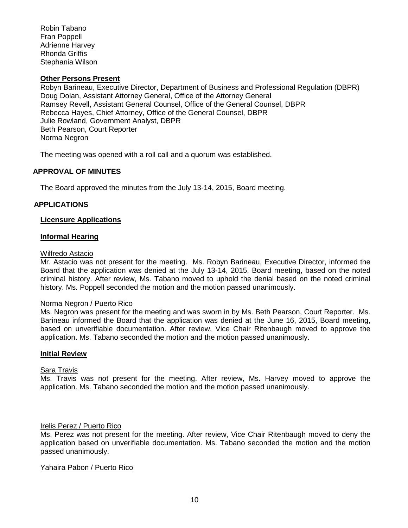Robin Tabano Fran Poppell Adrienne Harvey Rhonda Griffis Stephania Wilson

# **Other Persons Present**

Robyn Barineau, Executive Director, Department of Business and Professional Regulation (DBPR) Doug Dolan, Assistant Attorney General, Office of the Attorney General Ramsey Revell, Assistant General Counsel, Office of the General Counsel, DBPR Rebecca Hayes, Chief Attorney, Office of the General Counsel, DBPR Julie Rowland, Government Analyst, DBPR Beth Pearson, Court Reporter Norma Negron

The meeting was opened with a roll call and a quorum was established.

# **APPROVAL OF MINUTES**

The Board approved the minutes from the July 13-14, 2015, Board meeting.

# **APPLICATIONS**

# **Licensure Applications**

# **Informal Hearing**

#### Wilfredo Astacio

Mr. Astacio was not present for the meeting. Ms. Robyn Barineau, Executive Director, informed the Board that the application was denied at the July 13-14, 2015, Board meeting, based on the noted criminal history. After review, Ms. Tabano moved to uphold the denial based on the noted criminal history. Ms. Poppell seconded the motion and the motion passed unanimously.

# Norma Negron / Puerto Rico

Ms. Negron was present for the meeting and was sworn in by Ms. Beth Pearson, Court Reporter. Ms. Barineau informed the Board that the application was denied at the June 16, 2015, Board meeting, based on unverifiable documentation. After review, Vice Chair Ritenbaugh moved to approve the application. Ms. Tabano seconded the motion and the motion passed unanimously.

# **Initial Review**

# Sara Travis

Ms. Travis was not present for the meeting. After review, Ms. Harvey moved to approve the application. Ms. Tabano seconded the motion and the motion passed unanimously.

# Irelis Perez / Puerto Rico

Ms. Perez was not present for the meeting. After review, Vice Chair Ritenbaugh moved to deny the application based on unverifiable documentation. Ms. Tabano seconded the motion and the motion passed unanimously.

# Yahaira Pabon / Puerto Rico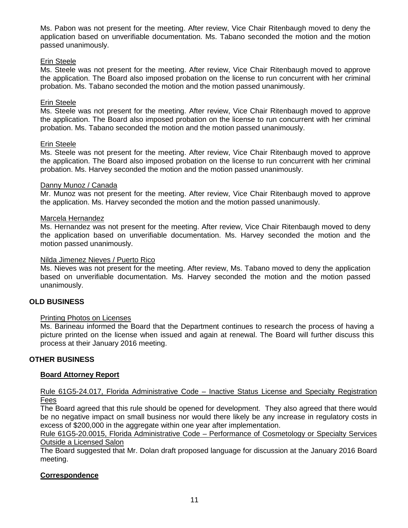Ms. Pabon was not present for the meeting. After review, Vice Chair Ritenbaugh moved to deny the application based on unverifiable documentation. Ms. Tabano seconded the motion and the motion passed unanimously.

# Erin Steele

Ms. Steele was not present for the meeting. After review, Vice Chair Ritenbaugh moved to approve the application. The Board also imposed probation on the license to run concurrent with her criminal probation. Ms. Tabano seconded the motion and the motion passed unanimously.

# Erin Steele

Ms. Steele was not present for the meeting. After review, Vice Chair Ritenbaugh moved to approve the application. The Board also imposed probation on the license to run concurrent with her criminal probation. Ms. Tabano seconded the motion and the motion passed unanimously.

# Erin Steele

Ms. Steele was not present for the meeting. After review, Vice Chair Ritenbaugh moved to approve the application. The Board also imposed probation on the license to run concurrent with her criminal probation. Ms. Harvey seconded the motion and the motion passed unanimously.

# Danny Munoz / Canada

Mr. Munoz was not present for the meeting. After review, Vice Chair Ritenbaugh moved to approve the application. Ms. Harvey seconded the motion and the motion passed unanimously.

# Marcela Hernandez

Ms. Hernandez was not present for the meeting. After review, Vice Chair Ritenbaugh moved to deny the application based on unverifiable documentation. Ms. Harvey seconded the motion and the motion passed unanimously.

# Nilda Jimenez Nieves / Puerto Rico

Ms. Nieves was not present for the meeting. After review, Ms. Tabano moved to deny the application based on unverifiable documentation. Ms. Harvey seconded the motion and the motion passed unanimously.

# **OLD BUSINESS**

# Printing Photos on Licenses

Ms. Barineau informed the Board that the Department continues to research the process of having a picture printed on the license when issued and again at renewal. The Board will further discuss this process at their January 2016 meeting.

# **OTHER BUSINESS**

# **Board Attorney Report**

# Rule 61G5-24.017, Florida Administrative Code – Inactive Status License and Specialty Registration Fees

The Board agreed that this rule should be opened for development. They also agreed that there would be no negative impact on small business nor would there likely be any increase in regulatory costs in excess of \$200,000 in the aggregate within one year after implementation.

Rule 61G5-20.0015, Florida Administrative Code – Performance of Cosmetology or Specialty Services Outside a Licensed Salon

The Board suggested that Mr. Dolan draft proposed language for discussion at the January 2016 Board meeting.

# **Correspondence**